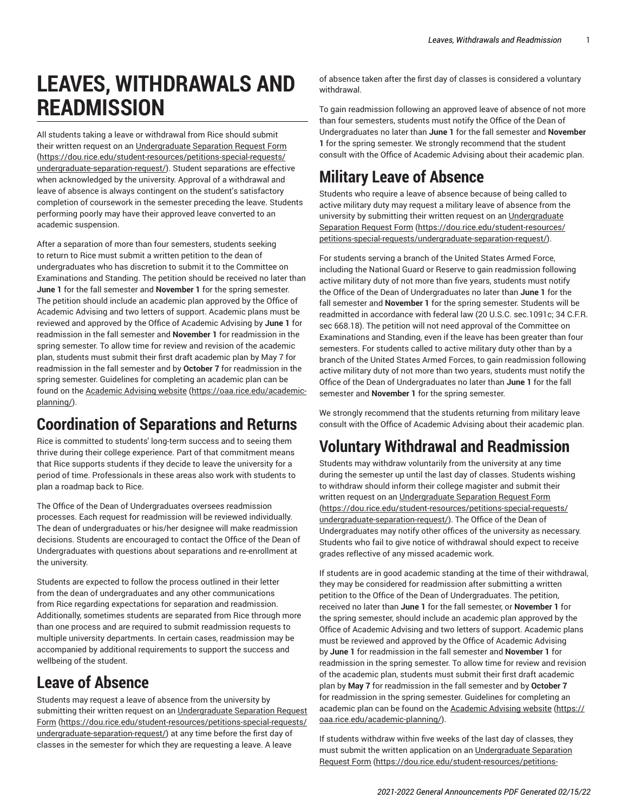# **LEAVES, WITHDRAWALS AND READMISSION**

All students taking a leave or withdrawal from Rice should submit their written request on an [Undergraduate](https://dou.rice.edu/student-resources/petitions-special-requests/undergraduate-separation-request/) Separation Request Form ([https://dou.rice.edu/student-resources/petitions-special-requests/](https://dou.rice.edu/student-resources/petitions-special-requests/undergraduate-separation-request/) [undergraduate-separation-request/\)](https://dou.rice.edu/student-resources/petitions-special-requests/undergraduate-separation-request/). Student separations are effective when acknowledged by the university. Approval of a withdrawal and leave of absence is always contingent on the student's satisfactory completion of coursework in the semester preceding the leave. Students performing poorly may have their approved leave converted to an academic suspension.

After a separation of more than four semesters, students seeking to return to Rice must submit a written petition to the dean of undergraduates who has discretion to submit it to the Committee on Examinations and Standing. The petition should be received no later than **June 1** for the fall semester and **November 1** for the spring semester. The petition should include an academic plan approved by the Office of Academic Advising and two letters of support. Academic plans must be reviewed and approved by the Office of Academic Advising by **June 1** for readmission in the fall semester and **November 1** for readmission in the spring semester. To allow time for review and revision of the academic plan, students must submit their first draft academic plan by May 7 for readmission in the fall semester and by **October 7** for readmission in the spring semester. Guidelines for completing an academic plan can be found on the [Academic Advising website](https://oaa.rice.edu/academic-planning/) ([https://oaa.rice.edu/academic](https://oaa.rice.edu/academic-planning/)[planning/](https://oaa.rice.edu/academic-planning/)).

### **Coordination of Separations and Returns**

Rice is committed to students' long-term success and to seeing them thrive during their college experience. Part of that commitment means that Rice supports students if they decide to leave the university for a period of time. Professionals in these areas also work with students to plan a roadmap back to Rice.

The Office of the Dean of Undergraduates oversees readmission processes. Each request for readmission will be reviewed individually. The dean of undergraduates or his/her designee will make readmission decisions. Students are encouraged to contact the Office of the Dean of Undergraduates with questions about separations and re-enrollment at the university.

Students are expected to follow the process outlined in their letter from the dean of undergraduates and any other communications from Rice regarding expectations for separation and readmission. Additionally, sometimes students are separated from Rice through more than one process and are required to submit readmission requests to multiple university departments. In certain cases, readmission may be accompanied by additional requirements to support the success and wellbeing of the student.

### **Leave of Absence**

Students may request a leave of absence from the university by submitting their written request on an [Undergraduate](https://dou.rice.edu/student-resources/petitions-special-requests/undergraduate-separation-request/) Separation Request [Form \(https://dou.rice.edu/student-resources/petitions-special-requests/](https://dou.rice.edu/student-resources/petitions-special-requests/undergraduate-separation-request/) [undergraduate-separation-request/\)](https://dou.rice.edu/student-resources/petitions-special-requests/undergraduate-separation-request/) at any time before the first day of classes in the semester for which they are requesting a leave. A leave

of absence taken after the first day of classes is considered a voluntary withdrawal.

To gain readmission following an approved leave of absence of not more than four semesters, students must notify the Office of the Dean of Undergraduates no later than **June 1** for the fall semester and **November 1** for the spring semester. We strongly recommend that the student consult with the Office of Academic Advising about their academic plan.

# **Military Leave of Absence**

Students who require a leave of absence because of being called to active military duty may request a military leave of absence from the university by submitting their written request on an [Undergraduate](https://dou.rice.edu/student-resources/petitions-special-requests/undergraduate-separation-request/) [Separation](https://dou.rice.edu/student-resources/petitions-special-requests/undergraduate-separation-request/) Request Form ([https://dou.rice.edu/student-resources/](https://dou.rice.edu/student-resources/petitions-special-requests/undergraduate-separation-request/) [petitions-special-requests/undergraduate-separation-request/](https://dou.rice.edu/student-resources/petitions-special-requests/undergraduate-separation-request/)).

For students serving a branch of the United States Armed Force, including the National Guard or Reserve to gain readmission following active military duty of not more than five years, students must notify the Office of the Dean of Undergraduates no later than **June 1** for the fall semester and **November 1** for the spring semester. Students will be readmitted in accordance with federal law (20 U.S.C. sec.1091c; 34 C.F.R. sec 668.18). The petition will not need approval of the Committee on Examinations and Standing, even if the leave has been greater than four semesters. For students called to active military duty other than by a branch of the United States Armed Forces, to gain readmission following active military duty of not more than two years, students must notify the Office of the Dean of Undergraduates no later than **June 1** for the fall semester and **November 1** for the spring semester.

We strongly recommend that the students returning from military leave consult with the Office of Academic Advising about their academic plan.

# **Voluntary Withdrawal and Readmission**

Students may withdraw voluntarily from the university at any time during the semester up until the last day of classes. Students wishing to withdraw should inform their college magister and submit their written request on an [Undergraduate](https://dou.rice.edu/student-resources/petitions-special-requests/undergraduate-separation-request/) Separation Request Form [\(https://dou.rice.edu/student-resources/petitions-special-requests/](https://dou.rice.edu/student-resources/petitions-special-requests/undergraduate-separation-request/) [undergraduate-separation-request/](https://dou.rice.edu/student-resources/petitions-special-requests/undergraduate-separation-request/)). The Office of the Dean of Undergraduates may notify other offices of the university as necessary. Students who fail to give notice of withdrawal should expect to receive grades reflective of any missed academic work.

If students are in good academic standing at the time of their withdrawal, they may be considered for readmission after submitting a written petition to the Office of the Dean of Undergraduates. The petition, received no later than **June 1** for the fall semester, or **November 1** for the spring semester, should include an academic plan approved by the Office of Academic Advising and two letters of support. Academic plans must be reviewed and approved by the Office of Academic Advising by **June 1** for readmission in the fall semester and **November 1** for readmission in the spring semester. To allow time for review and revision of the academic plan, students must submit their first draft academic plan by **May 7** for readmission in the fall semester and by **October 7** for readmission in the spring semester. Guidelines for completing an academic plan can be found on the [Academic Advising website](https://oaa.rice.edu/academic-planning/) ([https://](https://oaa.rice.edu/academic-planning/) [oaa.rice.edu/academic-planning/\)](https://oaa.rice.edu/academic-planning/).

If students withdraw within five weeks of the last day of classes, they must submit the written application on an [Undergraduate](https://dou.rice.edu/student-resources/petitions-special-requests/undergraduate-separation-request/) Separation [Request](https://dou.rice.edu/student-resources/petitions-special-requests/undergraduate-separation-request/) Form ([https://dou.rice.edu/student-resources/petitions-](https://dou.rice.edu/student-resources/petitions-special-requests/undergraduate-separation-request/)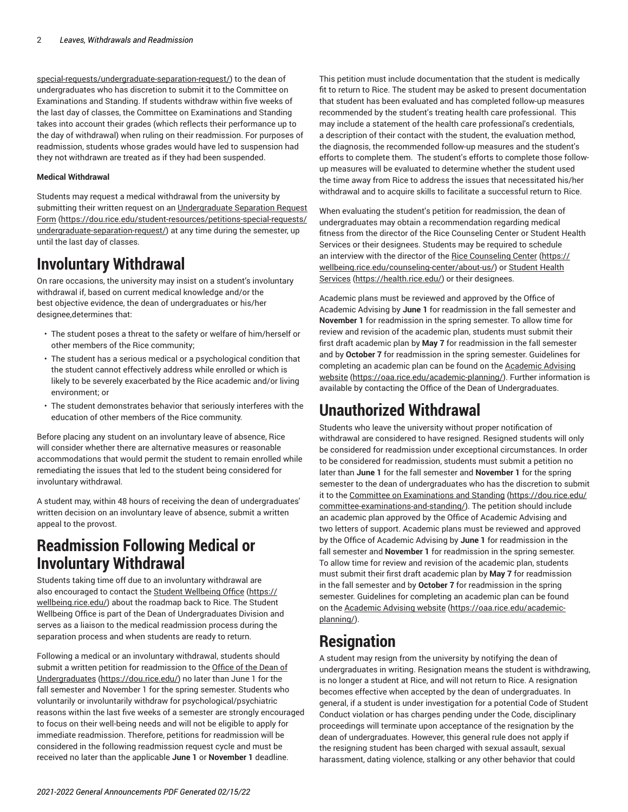[special-requests/undergraduate-separation-request/](https://dou.rice.edu/student-resources/petitions-special-requests/undergraduate-separation-request/)) to the dean of undergraduates who has discretion to submit it to the Committee on Examinations and Standing. If students withdraw within five weeks of the last day of classes, the Committee on Examinations and Standing takes into account their grades (which reflects their performance up to the day of withdrawal) when ruling on their readmission. For purposes of readmission, students whose grades would have led to suspension had they not withdrawn are treated as if they had been suspended.

#### **Medical Withdrawal**

Students may request a medical withdrawal from the university by submitting their written request on an [Undergraduate](https://dou.rice.edu/student-resources/petitions-special-requests/undergraduate-separation-request/) Separation Request [Form \(https://dou.rice.edu/student-resources/petitions-special-requests/](https://dou.rice.edu/student-resources/petitions-special-requests/undergraduate-separation-request/) [undergraduate-separation-request/\)](https://dou.rice.edu/student-resources/petitions-special-requests/undergraduate-separation-request/) at any time during the semester, up until the last day of classes.

## **Involuntary Withdrawal**

On rare occasions, the university may insist on a student's involuntary withdrawal if, based on current medical knowledge and/or the best objective evidence, the dean of undergraduates or his/her designee,determines that:

- The student poses a threat to the safety or welfare of him/herself or other members of the Rice community;
- The student has a serious medical or a psychological condition that the student cannot effectively address while enrolled or which is likely to be severely exacerbated by the Rice academic and/or living environment; or
- The student demonstrates behavior that seriously interferes with the education of other members of the Rice community.

Before placing any student on an involuntary leave of absence, Rice will consider whether there are alternative measures or reasonable accommodations that would permit the student to remain enrolled while remediating the issues that led to the student being considered for involuntary withdrawal.

A student may, within 48 hours of receiving the dean of undergraduates' written decision on an involuntary leave of absence, submit a written appeal to the provost.

#### **Readmission Following Medical or Involuntary Withdrawal**

Students taking time off due to an involuntary withdrawal are also encouraged to contact the Student [Wellbeing](https://wellbeing.rice.edu/) Office [\(https://](https://wellbeing.rice.edu/) [wellbeing.rice.edu/](https://wellbeing.rice.edu/)) about the roadmap back to Rice. The Student Wellbeing Office is part of the Dean of Undergraduates Division and serves as a liaison to the medical readmission process during the separation process and when students are ready to return.

Following a medical or an involuntary withdrawal, students should submit a written petition for readmission to the [Office of the Dean of](https://dou.rice.edu/) [Undergraduates \(https://dou.rice.edu/\)](https://dou.rice.edu/) no later than June 1 for the fall semester and November 1 for the spring semester. Students who voluntarily or involuntarily withdraw for psychological/psychiatric reasons within the last five weeks of a semester are strongly encouraged to focus on their well-being needs and will not be eligible to apply for immediate readmission. Therefore, petitions for readmission will be considered in the following readmission request cycle and must be received no later than the applicable **June 1** or **November 1** deadline.

This petition must include documentation that the student is medically fit to return to Rice. The student may be asked to present documentation that student has been evaluated and has completed follow-up measures recommended by the student's treating health care professional. This may include a statement of the health care professional's credentials, a description of their contact with the student, the evaluation method, the diagnosis, the recommended follow-up measures and the student's efforts to complete them. The student's efforts to complete those followup measures will be evaluated to determine whether the student used the time away from Rice to address the issues that necessitated his/her withdrawal and to acquire skills to facilitate a successful return to Rice.

When evaluating the student's petition for readmission, the dean of undergraduates may obtain a recommendation regarding medical fitness from the director of the Rice Counseling Center or Student Health Services or their designees. Students may be required to schedule an interview with the director of the [Rice Counseling Center \(https://](https://wellbeing.rice.edu/counseling-center/about-us/) [wellbeing.rice.edu/counseling-center/about-us/](https://wellbeing.rice.edu/counseling-center/about-us/)) or [Student Health](https://health.rice.edu/) [Services](https://health.rice.edu/) ([https://health.rice.edu/\)](https://health.rice.edu/) or their designees.

Academic plans must be reviewed and approved by the Office of Academic Advising by **June 1** for readmission in the fall semester and **November 1** for readmission in the spring semester. To allow time for review and revision of the academic plan, students must submit their first draft academic plan by **May 7** for readmission in the fall semester and by **October 7** for readmission in the spring semester. Guidelines for completing an academic plan can be found on the [Academic Advising](https://oaa.rice.edu/academic-planning/) [website](https://oaa.rice.edu/academic-planning/) [\(https://oaa.rice.edu/academic-planning/\)](https://oaa.rice.edu/academic-planning/). Further information is available by contacting the Office of the Dean of Undergraduates.

#### **Unauthorized Withdrawal**

Students who leave the university without proper notification of withdrawal are considered to have resigned. Resigned students will only be considered for readmission under exceptional circumstances. In order to be considered for readmission, students must submit a petition no later than **June 1** for the fall semester and **November 1** for the spring semester to the dean of undergraduates who has the discretion to submit it to the [Committee on Examinations and Standing](https://dou.rice.edu/committee-examinations-and-standing/) [\(https://dou.rice.edu/](https://dou.rice.edu/committee-examinations-and-standing/) [committee-examinations-and-standing/\)](https://dou.rice.edu/committee-examinations-and-standing/). The petition should include an academic plan approved by the Office of Academic Advising and two letters of support. Academic plans must be reviewed and approved by the Office of Academic Advising by **June 1** for readmission in the fall semester and **November 1** for readmission in the spring semester. To allow time for review and revision of the academic plan, students must submit their first draft academic plan by **May 7** for readmission in the fall semester and by **October 7** for readmission in the spring semester. Guidelines for completing an academic plan can be found on the [Academic Advising website \(https://oaa.rice.edu/academic](https://oaa.rice.edu/academic-planning/)[planning/\)](https://oaa.rice.edu/academic-planning/).

### **Resignation**

A student may resign from the university by notifying the dean of undergraduates in writing. Resignation means the student is withdrawing, is no longer a student at Rice, and will not return to Rice. A resignation becomes effective when accepted by the dean of undergraduates. In general, if a student is under investigation for a potential Code of Student Conduct violation or has charges pending under the Code, disciplinary proceedings will terminate upon acceptance of the resignation by the dean of undergraduates. However, this general rule does not apply if the resigning student has been charged with sexual assault, sexual harassment, dating violence, stalking or any other behavior that could